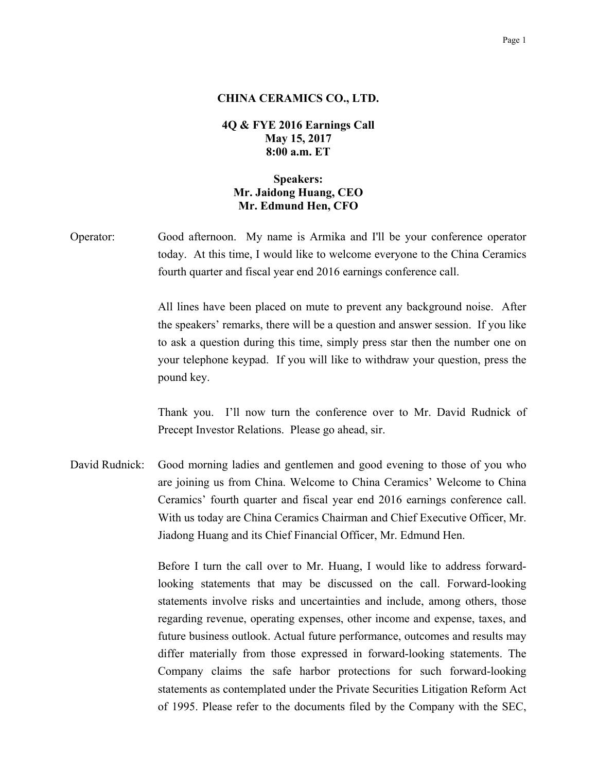## **CHINA CERAMICS CO., LTD.**

**4Q & FYE 2016 Earnings Call May 15, 2017 8:00 a.m. ET** 

# **Speakers: Mr. Jaidong Huang, CEO Mr. Edmund Hen, CFO**

Operator: Good afternoon. My name is Armika and I'll be your conference operator today. At this time, I would like to welcome everyone to the China Ceramics fourth quarter and fiscal year end 2016 earnings conference call.

> All lines have been placed on mute to prevent any background noise. After the speakers' remarks, there will be a question and answer session. If you like to ask a question during this time, simply press star then the number one on your telephone keypad. If you will like to withdraw your question, press the pound key.

> Thank you. I'll now turn the conference over to Mr. David Rudnick of Precept Investor Relations. Please go ahead, sir.

David Rudnick: Good morning ladies and gentlemen and good evening to those of you who are joining us from China. Welcome to China Ceramics' Welcome to China Ceramics' fourth quarter and fiscal year end 2016 earnings conference call. With us today are China Ceramics Chairman and Chief Executive Officer, Mr. Jiadong Huang and its Chief Financial Officer, Mr. Edmund Hen.

> Before I turn the call over to Mr. Huang, I would like to address forwardlooking statements that may be discussed on the call. Forward-looking statements involve risks and uncertainties and include, among others, those regarding revenue, operating expenses, other income and expense, taxes, and future business outlook. Actual future performance, outcomes and results may differ materially from those expressed in forward-looking statements. The Company claims the safe harbor protections for such forward-looking statements as contemplated under the Private Securities Litigation Reform Act of 1995. Please refer to the documents filed by the Company with the SEC,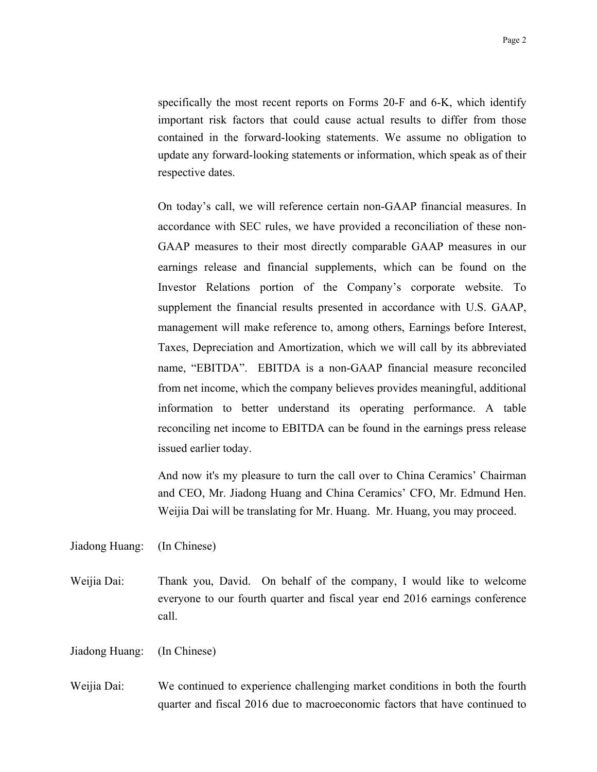specifically the most recent reports on Forms 20-F and 6-K, which identify important risk factors that could cause actual results to differ from those contained in the forward-looking statements. We assume no obligation to update any forward-looking statements or information, which speak as of their respective dates.

On today's call, we will reference certain non-GAAP financial measures. In accordance with SEC rules, we have provided a reconciliation of these non-GAAP measures to their most directly comparable GAAP measures in our earnings release and financial supplements, which can be found on the Investor Relations portion of the Company's corporate website. To supplement the financial results presented in accordance with U.S. GAAP, management will make reference to, among others, Earnings before Interest, Taxes, Depreciation and Amortization, which we will call by its abbreviated name, "EBITDA". EBITDA is a non-GAAP financial measure reconciled from net income, which the company believes provides meaningful, additional information to better understand its operating performance. A table reconciling net income to EBITDA can be found in the earnings press release issued earlier today.

 And now it's my pleasure to turn the call over to China Ceramics' Chairman and CEO, Mr. Jiadong Huang and China Ceramics' CFO, Mr. Edmund Hen. Weijia Dai will be translating for Mr. Huang. Mr. Huang, you may proceed.

Jiadong Huang: (In Chinese)

Weijia Dai: Thank you, David. On behalf of the company, I would like to welcome everyone to our fourth quarter and fiscal year end 2016 earnings conference call.

#### Jiadong Huang: (In Chinese)

Weijia Dai: We continued to experience challenging market conditions in both the fourth quarter and fiscal 2016 due to macroeconomic factors that have continued to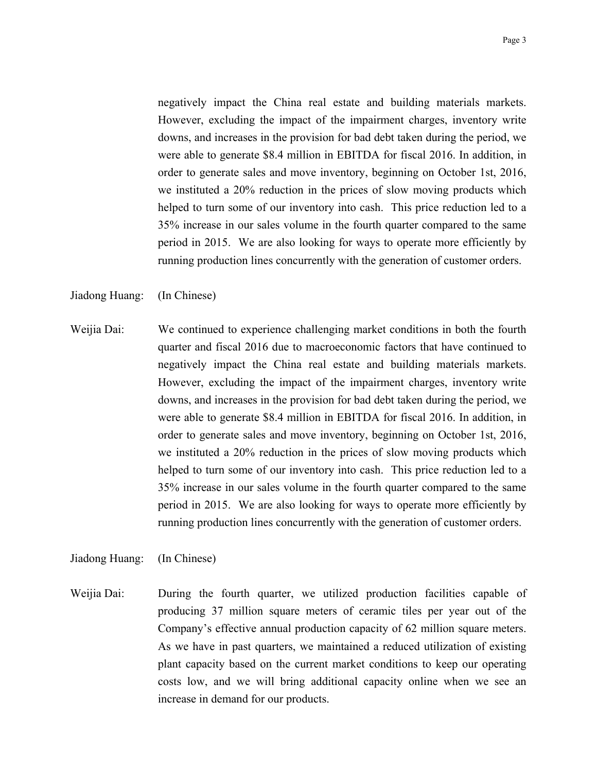negatively impact the China real estate and building materials markets. However, excluding the impact of the impairment charges, inventory write downs, and increases in the provision for bad debt taken during the period, we were able to generate \$8.4 million in EBITDA for fiscal 2016. In addition, in order to generate sales and move inventory, beginning on October 1st, 2016, we instituted a 20% reduction in the prices of slow moving products which helped to turn some of our inventory into cash. This price reduction led to a 35% increase in our sales volume in the fourth quarter compared to the same period in 2015. We are also looking for ways to operate more efficiently by running production lines concurrently with the generation of customer orders.

## Jiadong Huang: (In Chinese)

Weijia Dai: We continued to experience challenging market conditions in both the fourth quarter and fiscal 2016 due to macroeconomic factors that have continued to negatively impact the China real estate and building materials markets. However, excluding the impact of the impairment charges, inventory write downs, and increases in the provision for bad debt taken during the period, we were able to generate \$8.4 million in EBITDA for fiscal 2016. In addition, in order to generate sales and move inventory, beginning on October 1st, 2016, we instituted a 20% reduction in the prices of slow moving products which helped to turn some of our inventory into cash. This price reduction led to a 35% increase in our sales volume in the fourth quarter compared to the same period in 2015. We are also looking for ways to operate more efficiently by running production lines concurrently with the generation of customer orders.

### Jiadong Huang: (In Chinese)

Weijia Dai: During the fourth quarter, we utilized production facilities capable of producing 37 million square meters of ceramic tiles per year out of the Company's effective annual production capacity of 62 million square meters. As we have in past quarters, we maintained a reduced utilization of existing plant capacity based on the current market conditions to keep our operating costs low, and we will bring additional capacity online when we see an increase in demand for our products.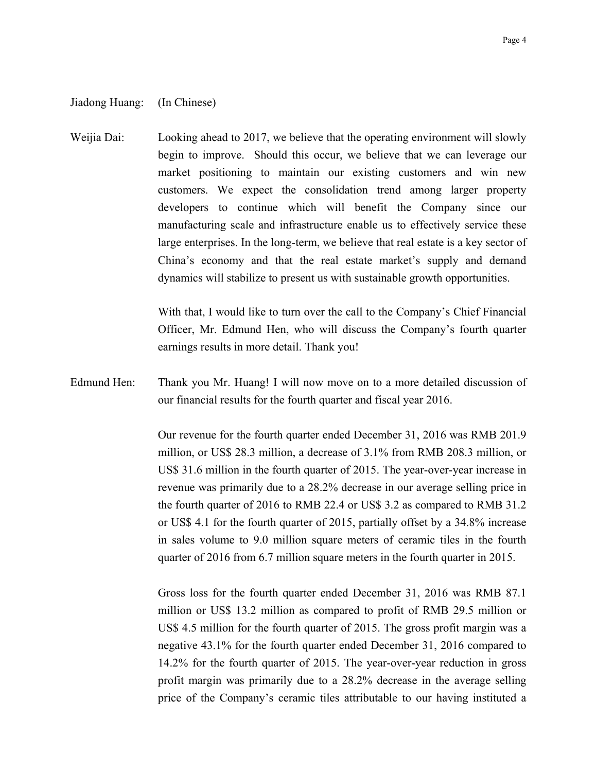#### Jiadong Huang: (In Chinese)

Weijia Dai: Looking ahead to 2017, we believe that the operating environment will slowly begin to improve. Should this occur, we believe that we can leverage our market positioning to maintain our existing customers and win new customers. We expect the consolidation trend among larger property developers to continue which will benefit the Company since our manufacturing scale and infrastructure enable us to effectively service these large enterprises. In the long-term, we believe that real estate is a key sector of China's economy and that the real estate market's supply and demand dynamics will stabilize to present us with sustainable growth opportunities.

> With that, I would like to turn over the call to the Company's Chief Financial Officer, Mr. Edmund Hen, who will discuss the Company's fourth quarter earnings results in more detail. Thank you!

Edmund Hen: Thank you Mr. Huang! I will now move on to a more detailed discussion of our financial results for the fourth quarter and fiscal year 2016.

> Our revenue for the fourth quarter ended December 31, 2016 was RMB 201.9 million, or US\$ 28.3 million, a decrease of 3.1% from RMB 208.3 million, or US\$ 31.6 million in the fourth quarter of 2015. The year-over-year increase in revenue was primarily due to a 28.2% decrease in our average selling price in the fourth quarter of 2016 to RMB 22.4 or US\$ 3.2 as compared to RMB 31.2 or US\$ 4.1 for the fourth quarter of 2015, partially offset by a 34.8% increase in sales volume to 9.0 million square meters of ceramic tiles in the fourth quarter of 2016 from 6.7 million square meters in the fourth quarter in 2015.

> Gross loss for the fourth quarter ended December 31, 2016 was RMB 87.1 million or US\$ 13.2 million as compared to profit of RMB 29.5 million or US\$ 4.5 million for the fourth quarter of 2015. The gross profit margin was a negative 43.1% for the fourth quarter ended December 31, 2016 compared to 14.2% for the fourth quarter of 2015. The year-over-year reduction in gross profit margin was primarily due to a 28.2% decrease in the average selling price of the Company's ceramic tiles attributable to our having instituted a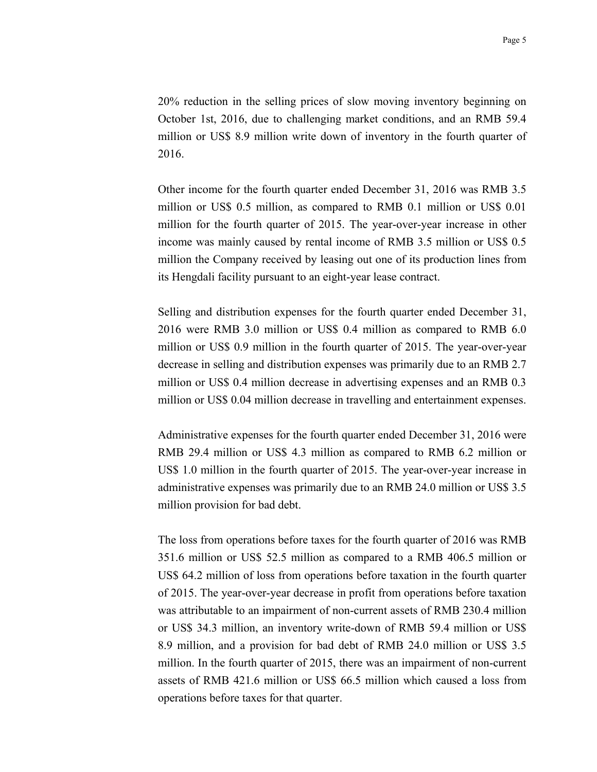20% reduction in the selling prices of slow moving inventory beginning on October 1st, 2016, due to challenging market conditions, and an RMB 59.4 million or US\$ 8.9 million write down of inventory in the fourth quarter of 2016.

Other income for the fourth quarter ended December 31, 2016 was RMB 3.5 million or US\$ 0.5 million, as compared to RMB 0.1 million or US\$ 0.01 million for the fourth quarter of 2015. The year-over-year increase in other income was mainly caused by rental income of RMB 3.5 million or US\$ 0.5 million the Company received by leasing out one of its production lines from its Hengdali facility pursuant to an eight-year lease contract.

Selling and distribution expenses for the fourth quarter ended December 31, 2016 were RMB 3.0 million or US\$ 0.4 million as compared to RMB 6.0 million or US\$ 0.9 million in the fourth quarter of 2015. The year-over-year decrease in selling and distribution expenses was primarily due to an RMB 2.7 million or US\$ 0.4 million decrease in advertising expenses and an RMB 0.3 million or US\$ 0.04 million decrease in travelling and entertainment expenses.

Administrative expenses for the fourth quarter ended December 31, 2016 were RMB 29.4 million or US\$ 4.3 million as compared to RMB 6.2 million or US\$ 1.0 million in the fourth quarter of 2015. The year-over-year increase in administrative expenses was primarily due to an RMB 24.0 million or US\$ 3.5 million provision for bad debt.

The loss from operations before taxes for the fourth quarter of 2016 was RMB 351.6 million or US\$ 52.5 million as compared to a RMB 406.5 million or US\$ 64.2 million of loss from operations before taxation in the fourth quarter of 2015. The year-over-year decrease in profit from operations before taxation was attributable to an impairment of non-current assets of RMB 230.4 million or US\$ 34.3 million, an inventory write-down of RMB 59.4 million or US\$ 8.9 million, and a provision for bad debt of RMB 24.0 million or US\$ 3.5 million. In the fourth quarter of 2015, there was an impairment of non-current assets of RMB 421.6 million or US\$ 66.5 million which caused a loss from operations before taxes for that quarter.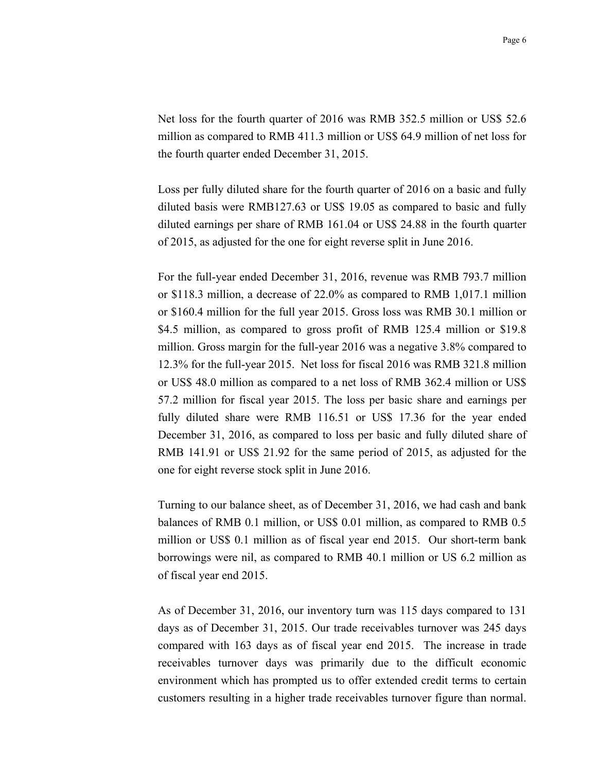Net loss for the fourth quarter of 2016 was RMB 352.5 million or US\$ 52.6 million as compared to RMB 411.3 million or US\$ 64.9 million of net loss for the fourth quarter ended December 31, 2015.

Loss per fully diluted share for the fourth quarter of 2016 on a basic and fully diluted basis were RMB127.63 or US\$ 19.05 as compared to basic and fully diluted earnings per share of RMB 161.04 or US\$ 24.88 in the fourth quarter of 2015, as adjusted for the one for eight reverse split in June 2016.

For the full-year ended December 31, 2016, revenue was RMB 793.7 million or \$118.3 million, a decrease of 22.0% as compared to RMB 1,017.1 million or \$160.4 million for the full year 2015. Gross loss was RMB 30.1 million or \$4.5 million, as compared to gross profit of RMB 125.4 million or \$19.8 million. Gross margin for the full-year 2016 was a negative 3.8% compared to 12.3% for the full-year 2015. Net loss for fiscal 2016 was RMB 321.8 million or US\$ 48.0 million as compared to a net loss of RMB 362.4 million or US\$ 57.2 million for fiscal year 2015. The loss per basic share and earnings per fully diluted share were RMB 116.51 or US\$ 17.36 for the year ended December 31, 2016, as compared to loss per basic and fully diluted share of RMB 141.91 or US\$ 21.92 for the same period of 2015, as adjusted for the one for eight reverse stock split in June 2016.

Turning to our balance sheet, as of December 31, 2016, we had cash and bank balances of RMB 0.1 million, or US\$ 0.01 million, as compared to RMB 0.5 million or US\$ 0.1 million as of fiscal year end 2015. Our short-term bank borrowings were nil, as compared to RMB 40.1 million or US 6.2 million as of fiscal year end 2015.

As of December 31, 2016, our inventory turn was 115 days compared to 131 days as of December 31, 2015. Our trade receivables turnover was 245 days compared with 163 days as of fiscal year end 2015. The increase in trade receivables turnover days was primarily due to the difficult economic environment which has prompted us to offer extended credit terms to certain customers resulting in a higher trade receivables turnover figure than normal.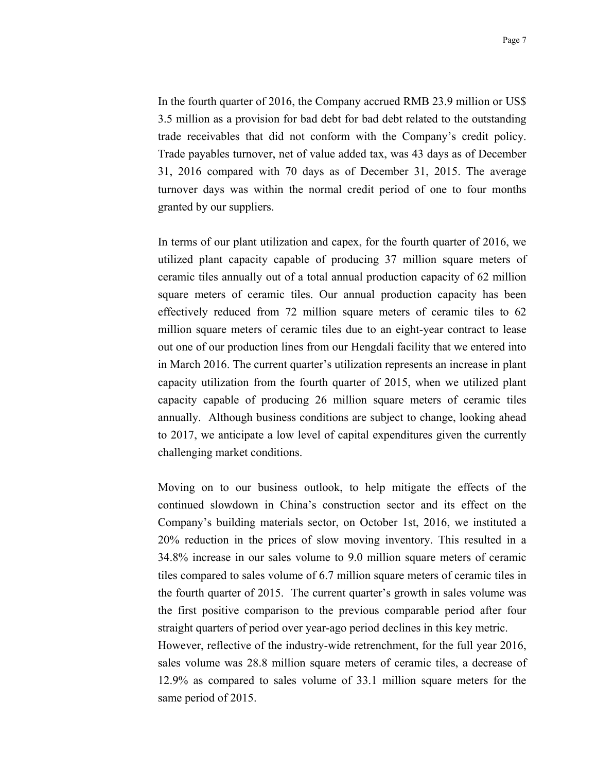In the fourth quarter of 2016, the Company accrued RMB 23.9 million or US\$ 3.5 million as a provision for bad debt for bad debt related to the outstanding trade receivables that did not conform with the Company's credit policy. Trade payables turnover, net of value added tax, was 43 days as of December 31, 2016 compared with 70 days as of December 31, 2015. The average turnover days was within the normal credit period of one to four months granted by our suppliers.

In terms of our plant utilization and capex, for the fourth quarter of 2016, we utilized plant capacity capable of producing 37 million square meters of ceramic tiles annually out of a total annual production capacity of 62 million square meters of ceramic tiles. Our annual production capacity has been effectively reduced from 72 million square meters of ceramic tiles to 62 million square meters of ceramic tiles due to an eight-year contract to lease out one of our production lines from our Hengdali facility that we entered into in March 2016. The current quarter's utilization represents an increase in plant capacity utilization from the fourth quarter of 2015, when we utilized plant capacity capable of producing 26 million square meters of ceramic tiles annually. Although business conditions are subject to change, looking ahead to 2017, we anticipate a low level of capital expenditures given the currently challenging market conditions.

Moving on to our business outlook, to help mitigate the effects of the continued slowdown in China's construction sector and its effect on the Company's building materials sector, on October 1st, 2016, we instituted a 20% reduction in the prices of slow moving inventory. This resulted in a 34.8% increase in our sales volume to 9.0 million square meters of ceramic tiles compared to sales volume of 6.7 million square meters of ceramic tiles in the fourth quarter of 2015. The current quarter's growth in sales volume was the first positive comparison to the previous comparable period after four straight quarters of period over year-ago period declines in this key metric.

However, reflective of the industry-wide retrenchment, for the full year 2016, sales volume was 28.8 million square meters of ceramic tiles, a decrease of 12.9% as compared to sales volume of 33.1 million square meters for the same period of 2015.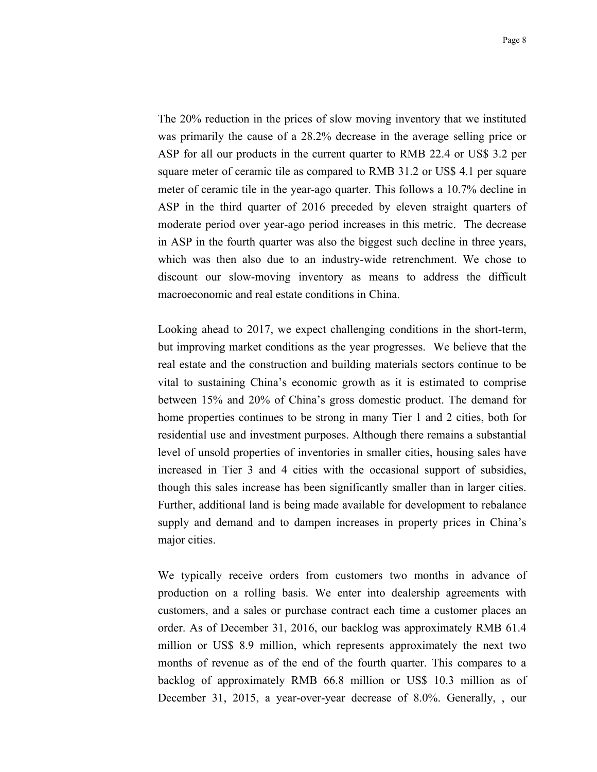The 20% reduction in the prices of slow moving inventory that we instituted was primarily the cause of a 28.2% decrease in the average selling price or ASP for all our products in the current quarter to RMB 22.4 or US\$ 3.2 per square meter of ceramic tile as compared to RMB 31.2 or US\$ 4.1 per square meter of ceramic tile in the year-ago quarter. This follows a 10.7% decline in ASP in the third quarter of 2016 preceded by eleven straight quarters of moderate period over year-ago period increases in this metric. The decrease in ASP in the fourth quarter was also the biggest such decline in three years, which was then also due to an industry-wide retrenchment. We chose to discount our slow-moving inventory as means to address the difficult macroeconomic and real estate conditions in China.

Looking ahead to 2017, we expect challenging conditions in the short-term, but improving market conditions as the year progresses. We believe that the real estate and the construction and building materials sectors continue to be vital to sustaining China's economic growth as it is estimated to comprise between 15% and 20% of China's gross domestic product. The demand for home properties continues to be strong in many Tier 1 and 2 cities, both for residential use and investment purposes. Although there remains a substantial level of unsold properties of inventories in smaller cities, housing sales have increased in Tier 3 and 4 cities with the occasional support of subsidies, though this sales increase has been significantly smaller than in larger cities. Further, additional land is being made available for development to rebalance supply and demand and to dampen increases in property prices in China's major cities.

We typically receive orders from customers two months in advance of production on a rolling basis. We enter into dealership agreements with customers, and a sales or purchase contract each time a customer places an order. As of December 31, 2016, our backlog was approximately RMB 61.4 million or US\$ 8.9 million, which represents approximately the next two months of revenue as of the end of the fourth quarter. This compares to a backlog of approximately RMB 66.8 million or US\$ 10.3 million as of December 31, 2015, a year-over-year decrease of 8.0%. Generally, , our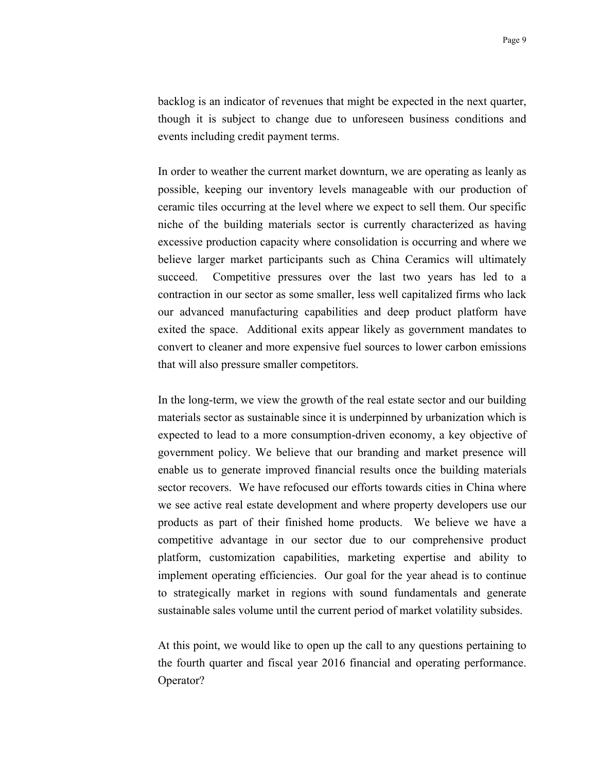backlog is an indicator of revenues that might be expected in the next quarter, though it is subject to change due to unforeseen business conditions and events including credit payment terms.

In order to weather the current market downturn, we are operating as leanly as possible, keeping our inventory levels manageable with our production of ceramic tiles occurring at the level where we expect to sell them. Our specific niche of the building materials sector is currently characterized as having excessive production capacity where consolidation is occurring and where we believe larger market participants such as China Ceramics will ultimately succeed. Competitive pressures over the last two years has led to a contraction in our sector as some smaller, less well capitalized firms who lack our advanced manufacturing capabilities and deep product platform have exited the space. Additional exits appear likely as government mandates to convert to cleaner and more expensive fuel sources to lower carbon emissions that will also pressure smaller competitors.

In the long-term, we view the growth of the real estate sector and our building materials sector as sustainable since it is underpinned by urbanization which is expected to lead to a more consumption-driven economy, a key objective of government policy. We believe that our branding and market presence will enable us to generate improved financial results once the building materials sector recovers. We have refocused our efforts towards cities in China where we see active real estate development and where property developers use our products as part of their finished home products. We believe we have a competitive advantage in our sector due to our comprehensive product platform, customization capabilities, marketing expertise and ability to implement operating efficiencies. Our goal for the year ahead is to continue to strategically market in regions with sound fundamentals and generate sustainable sales volume until the current period of market volatility subsides.

At this point, we would like to open up the call to any questions pertaining to the fourth quarter and fiscal year 2016 financial and operating performance. Operator?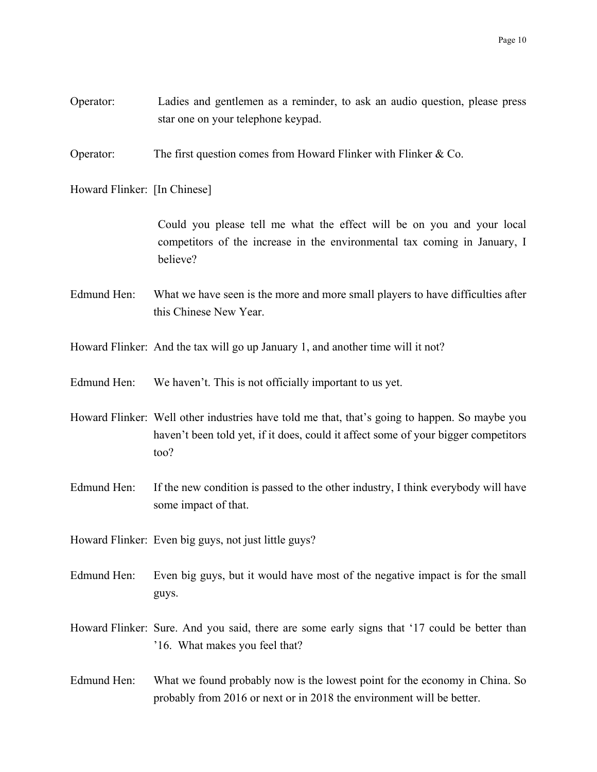- Operator: Ladies and gentlemen as a reminder, to ask an audio question, please press star one on your telephone keypad.
- Operator: The first question comes from Howard Flinker with Flinker & Co.

Howard Flinker: [In Chinese]

Could you please tell me what the effect will be on you and your local competitors of the increase in the environmental tax coming in January, I believe?

Edmund Hen: What we have seen is the more and more small players to have difficulties after this Chinese New Year.

Howard Flinker: And the tax will go up January 1, and another time will it not?

Edmund Hen: We haven't. This is not officially important to us yet.

- Howard Flinker: Well other industries have told me that, that's going to happen. So maybe you haven't been told yet, if it does, could it affect some of your bigger competitors too?
- Edmund Hen: If the new condition is passed to the other industry, I think everybody will have some impact of that.
- Howard Flinker: Even big guys, not just little guys?
- Edmund Hen: Even big guys, but it would have most of the negative impact is for the small guys.
- Howard Flinker: Sure. And you said, there are some early signs that '17 could be better than '16. What makes you feel that?
- Edmund Hen: What we found probably now is the lowest point for the economy in China. So probably from 2016 or next or in 2018 the environment will be better.